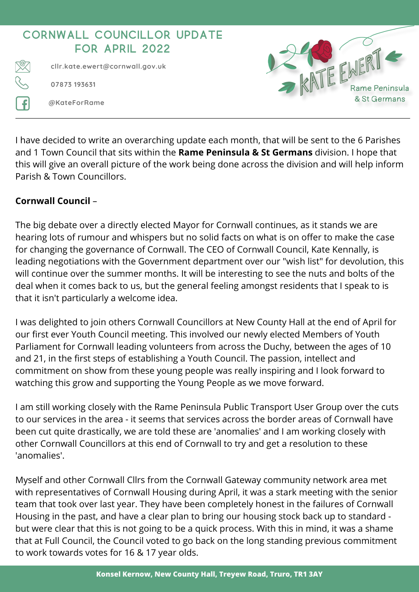

I have decided to write an overarching update each month, that will be sent to the 6 Parishes and 1 Town Council that sits within the **Rame Peninsula & St Germans** division. I hope that this will give an overall picture of the work being done across the division and will help inform Parish & Town Councillors.

## **Cornwall Council** –

The big debate over a directly elected Mayor for Cornwall continues, as it stands we are hearing lots of rumour and whispers but no solid facts on what is on offer to make the case for changing the governance of Cornwall. The CEO of Cornwall Council, Kate Kennally, is leading negotiations with the Government department over our "wish list" for devolution, this will continue over the summer months. It will be interesting to see the nuts and bolts of the deal when it comes back to us, but the general feeling amongst residents that I speak to is that it isn't particularly a welcome idea.

I was delighted to join others Cornwall Councillors at New County Hall at the end of April for our first ever Youth Council meeting. This involved our newly elected Members of Youth Parliament for Cornwall leading volunteers from across the Duchy, between the ages of 10 and 21, in the first steps of establishing a Youth Council. The passion, intellect and commitment on show from these young people was really inspiring and I look forward to watching this grow and supporting the Young People as we move forward.

I am still working closely with the Rame Peninsula Public Transport User Group over the cuts to our services in the area - it seems that services across the border areas of Cornwall have been cut quite drastically, we are told these are 'anomalies' and I am working closely with other Cornwall Councillors at this end of Cornwall to try and get a resolution to these 'anomalies'.

Myself and other Cornwall Cllrs from the Cornwall Gateway community network area met with representatives of Cornwall Housing during April, it was a stark meeting with the senior team that took over last year. They have been completely honest in the failures of Cornwall Housing in the past, and have a clear plan to bring our housing stock back up to standard but were clear that this is not going to be a quick process. With this in mind, it was a shame that at Full Council, the Council voted to go back on the long standing previous commitment to work towards votes for 16 & 17 year olds.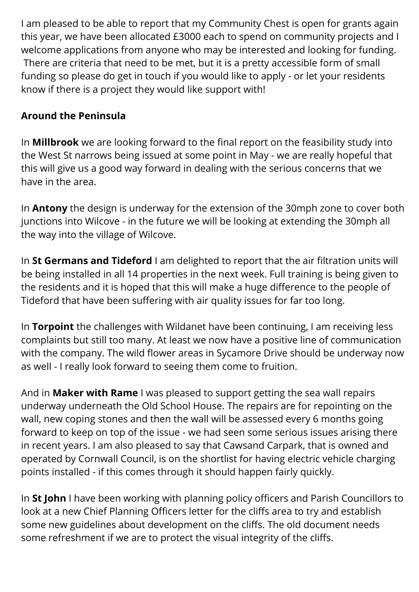I am pleased to be able to report that my Community Chest is open for grants again this year, we have been allocated £3000 each to spend on community projects and I welcome applications from anyone who may be interested and looking for funding. There are criteria that need to be met, but it is a pretty accessible form of small funding so please do get in touch if you would like to apply - or let your residents know if there is a project they would like support with!

## **Around the Peninsula**

In **Millbrook** we are looking forward to the final report on the feasibility study into the West St narrows being issued at some point in May - we are really hopeful that this will give us a good way forward in dealing with the serious concerns that we have in the area.

In **Antony** the design is underway for the extension of the 30mph zone to cover both junctions into Wilcove - in the future we will be looking at extending the 30mph all the way into the village of Wilcove.

In **St Germans and Tideford** I am delighted to report that the air filtration units will be being installed in all 14 properties in the next week. Full training is being given to the residents and it is hoped that this will make a huge difference to the people of Tideford that have been suffering with air quality issues for far too long.

In **Torpoint** the challenges with Wildanet have been continuing, I am receiving less complaints but still too many. At least we now have a positive line of communication with the company. The wild flower areas in Sycamore Drive should be underway now as well - I really look forward to seeing them come to fruition.

And in **Maker with Rame** I was pleased to support getting the sea wall repairs underway underneath the Old School House. The repairs are for repointing on the wall, new coping stones and then the wall will be assessed every 6 months going forward to keep on top of the issue - we had seen some serious issues arising there in recent years. I am also pleased to say that Cawsand Carpark, that is owned and operated by Cornwall Council, is on the shortlist for having electric vehicle charging points installed - if this comes through it should happen fairly quickly.

In **St John** I have been working with planning policy officers and Parish Councillors to look at a new Chief Planning Officers letter for the cliffs area to try and establish some new guidelines about development on the cliffs. The old document needs some refreshment if we are to protect the visual integrity of the cliffs.